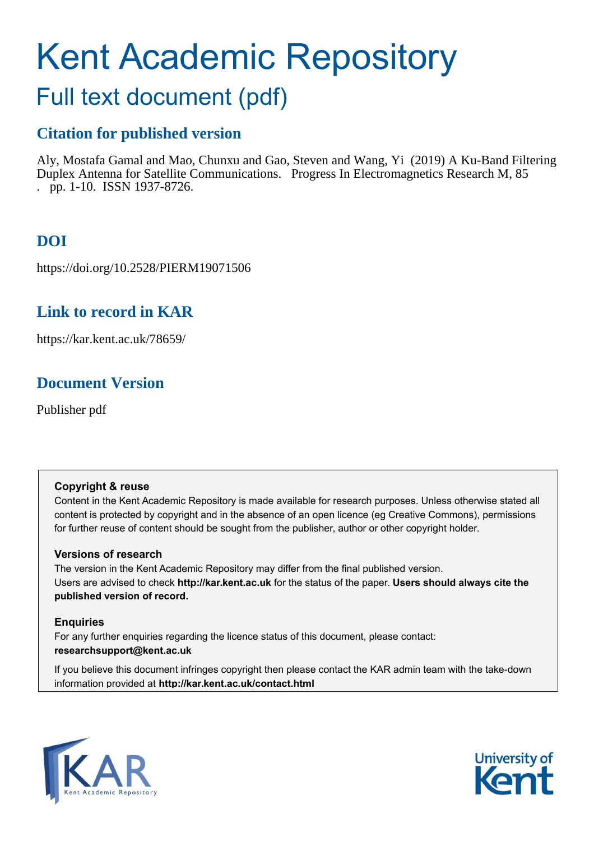# Kent Academic Repository

## Full text document (pdf)

## **Citation for published version**

Aly, Mostafa Gamal and Mao, Chunxu and Gao, Steven and Wang, Yi (2019) A Ku-Band Filtering Duplex Antenna for Satellite Communications. Progress In Electromagnetics Research M, 85 . pp. 1-10. ISSN 1937-8726.

## **DOI**

https://doi.org/10.2528/PIERM19071506

## **Link to record in KAR**

https://kar.kent.ac.uk/78659/

## **Document Version**

Publisher pdf

#### **Copyright & reuse**

Content in the Kent Academic Repository is made available for research purposes. Unless otherwise stated all content is protected by copyright and in the absence of an open licence (eg Creative Commons), permissions for further reuse of content should be sought from the publisher, author or other copyright holder.

#### **Versions of research**

The version in the Kent Academic Repository may differ from the final published version. Users are advised to check **http://kar.kent.ac.uk** for the status of the paper. **Users should always cite the published version of record.**

#### **Enquiries**

For any further enquiries regarding the licence status of this document, please contact: **researchsupport@kent.ac.uk**

If you believe this document infringes copyright then please contact the KAR admin team with the take-down information provided at **http://kar.kent.ac.uk/contact.html**



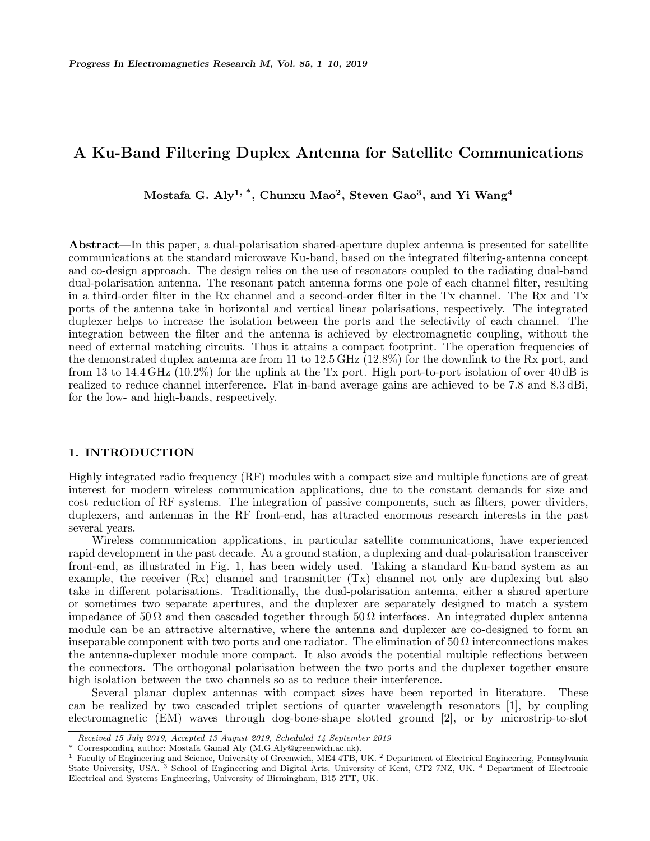#### **A Ku-Band Filtering Duplex Antenna for Satellite Communications**

**Mostafa G. Aly1, \*, Chunxu Mao2, Steven Gao3, and Yi Wang<sup>4</sup>**

**Abstract**—In this paper, a dual-polarisation shared-aperture duplex antenna is presented for satellite communications at the standard microwave Ku-band, based on the integrated filtering-antenna concept and co-design approach. The design relies on the use of resonators coupled to the radiating dual-band dual-polarisation antenna. The resonant patch antenna forms one pole of each channel filter, resulting in a third-order filter in the Rx channel and a second-order filter in the Tx channel. The Rx and Tx ports of the antenna take in horizontal and vertical linear polarisations, respectively. The integrated duplexer helps to increase the isolation between the ports and the selectivity of each channel. The integration between the filter and the antenna is achieved by electromagnetic coupling, without the need of external matching circuits. Thus it attains a compact footprint. The operation frequencies of the demonstrated duplex antenna are from 11 to 12.5 GHz (12.8%) for the downlink to the Rx port, and from 13 to 14.4 GHz (10.2%) for the uplink at the Tx port. High port-to-port isolation of over 40 dB is realized to reduce channel interference. Flat in-band average gains are achieved to be 7.8 and 8.3 dBi, for the low- and high-bands, respectively.

#### **1. INTRODUCTION**

Highly integrated radio frequency (RF) modules with a compact size and multiple functions are of great interest for modern wireless communication applications, due to the constant demands for size and cost reduction of RF systems. The integration of passive components, such as filters, power dividers, duplexers, and antennas in the RF front-end, has attracted enormous research interests in the past several years.

Wireless communication applications, in particular satellite communications, have experienced rapid development in the past decade. At a ground station, a duplexing and dual-polarisation transceiver front-end, as illustrated in Fig. 1, has been widely used. Taking a standard Ku-band system as an example, the receiver (Rx) channel and transmitter (Tx) channel not only are duplexing but also take in different polarisations. Traditionally, the dual-polarisation antenna, either a shared aperture or sometimes two separate apertures, and the duplexer are separately designed to match a system impedance of  $50 \Omega$  and then cascaded together through  $50 \Omega$  interfaces. An integrated duplex antenna module can be an attractive alternative, where the antenna and duplexer are co-designed to form an inseparable component with two ports and one radiator. The elimination of  $50 \Omega$  interconnections makes the antenna-duplexer module more compact. It also avoids the potential multiple reflections between the connectors. The orthogonal polarisation between the two ports and the duplexer together ensure high isolation between the two channels so as to reduce their interference.

Several planar duplex antennas with compact sizes have been reported in literature. These can be realized by two cascaded triplet sections of quarter wavelength resonators [1], by coupling electromagnetic (EM) waves through dog-bone-shape slotted ground [2], or by microstrip-to-slot

*Received 15 July 2019, Accepted 13 August 2019, Scheduled 14 September 2019*

<sup>\*</sup> Corresponding author: Mostafa Gamal Aly (M.G.Aly@greenwich.ac.uk).

<sup>&</sup>lt;sup>1</sup> Faculty of Engineering and Science, University of Greenwich, ME4 4TB, UK. <sup>2</sup> Department of Electrical Engineering, Pennsylvania State University, USA. <sup>3</sup> School of Engineering and Digital Arts, University of Kent, CT2 7NZ, UK. <sup>4</sup> Department of Electronic Electrical and Systems Engineering, University of Birmingham, B15 2TT, UK.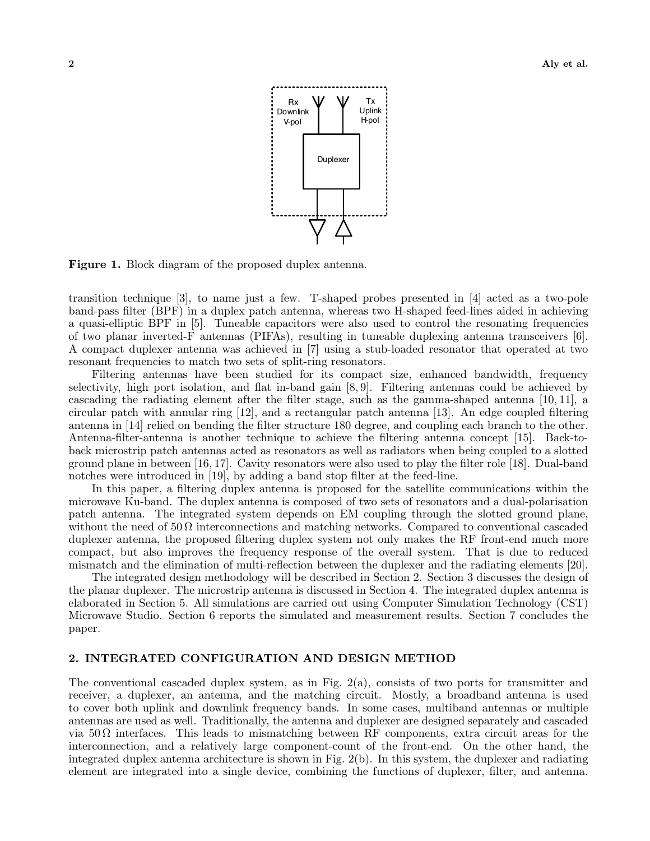

**Figure 1.** Block diagram of the proposed duplex antenna.

transition technique [3], to name just a few. T-shaped probes presented in [4] acted as a two-pole band-pass filter (BPF) in a duplex patch antenna, whereas two H-shaped feed-lines aided in achieving a quasi-elliptic BPF in [5]. Tuneable capacitors were also used to control the resonating frequencies of two planar inverted-F antennas (PIFAs), resulting in tuneable duplexing antenna transceivers [6]. A compact duplexer antenna was achieved in [7] using a stub-loaded resonator that operated at two resonant frequencies to match two sets of split-ring resonators.

Filtering antennas have been studied for its compact size, enhanced bandwidth, frequency selectivity, high port isolation, and flat in-band gain [8, 9]. Filtering antennas could be achieved by cascading the radiating element after the filter stage, such as the gamma-shaped antenna [10, 11], a circular patch with annular ring [12], and a rectangular patch antenna [13]. An edge coupled filtering antenna in [14] relied on bending the filter structure 180 degree, and coupling each branch to the other. Antenna-filter-antenna is another technique to achieve the filtering antenna concept [15]. Back-toback microstrip patch antennas acted as resonators as well as radiators when being coupled to a slotted ground plane in between [16, 17]. Cavity resonators were also used to play the filter role [18]. Dual-band notches were introduced in [19], by adding a band stop filter at the feed-line.

In this paper, a filtering duplex antenna is proposed for the satellite communications within the microwave Ku-band. The duplex antenna is composed of two sets of resonators and a dual-polarisation patch antenna. The integrated system depends on EM coupling through the slotted ground plane, without the need of  $50 \Omega$  interconnections and matching networks. Compared to conventional cascaded duplexer antenna, the proposed filtering duplex system not only makes the RF front-end much more compact, but also improves the frequency response of the overall system. That is due to reduced mismatch and the elimination of multi-reflection between the duplexer and the radiating elements [20].

The integrated design methodology will be described in Section 2. Section 3 discusses the design of the planar duplexer. The microstrip antenna is discussed in Section 4. The integrated duplex antenna is elaborated in Section 5. All simulations are carried out using Computer Simulation Technology (CST) Microwave Studio. Section 6 reports the simulated and measurement results. Section 7 concludes the paper.

#### **2. INTEGRATED CONFIGURATION AND DESIGN METHOD**

The conventional cascaded duplex system, as in Fig. 2(a), consists of two ports for transmitter and receiver, a duplexer, an antenna, and the matching circuit. Mostly, a broadband antenna is used to cover both uplink and downlink frequency bands. In some cases, multiband antennas or multiple antennas are used as well. Traditionally, the antenna and duplexer are designed separately and cascaded via  $50\Omega$  interfaces. This leads to mismatching between RF components, extra circuit areas for the interconnection, and a relatively large component-count of the front-end. On the other hand, the integrated duplex antenna architecture is shown in Fig. 2(b). In this system, the duplexer and radiating element are integrated into a single device, combining the functions of duplexer, filter, and antenna.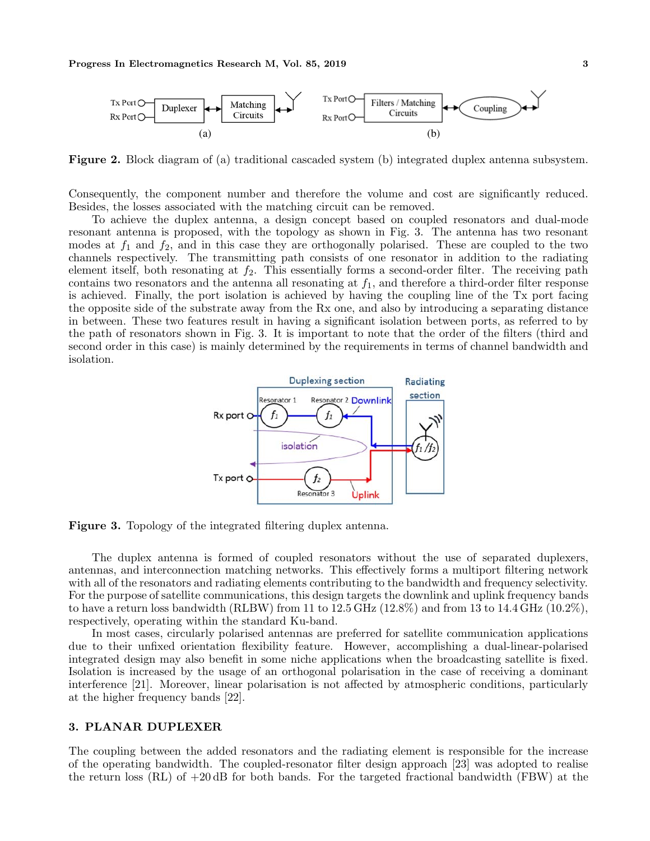

**Figure 2.** Block diagram of (a) traditional cascaded system (b) integrated duplex antenna subsystem.

Consequently, the component number and therefore the volume and cost are significantly reduced. Besides, the losses associated with the matching circuit can be removed.

To achieve the duplex antenna, a design concept based on coupled resonators and dual-mode resonant antenna is proposed, with the topology as shown in Fig. 3. The antenna has two resonant modes at  $f_1$  and  $f_2$ , and in this case they are orthogonally polarised. These are coupled to the two channels respectively. The transmitting path consists of one resonator in addition to the radiating element itself, both resonating at  $f_2$ . This essentially forms a second-order filter. The receiving path contains two resonators and the antenna all resonating at  $f_1$ , and therefore a third-order filter response is achieved. Finally, the port isolation is achieved by having the coupling line of the Tx port facing the opposite side of the substrate away from the Rx one, and also by introducing a separating distance in between. These two features result in having a significant isolation between ports, as referred to by the path of resonators shown in Fig. 3. It is important to note that the order of the filters (third and second order in this case) is mainly determined by the requirements in terms of channel bandwidth and isolation.



**Figure 3.** Topology of the integrated filtering duplex antenna.

The duplex antenna is formed of coupled resonators without the use of separated duplexers, antennas, and interconnection matching networks. This effectively forms a multiport filtering network with all of the resonators and radiating elements contributing to the bandwidth and frequency selectivity. For the purpose of satellite communications, this design targets the downlink and uplink frequency bands to have a return loss bandwidth (RLBW) from 11 to  $12.5$  GHz  $(12.8\%)$  and from 13 to  $14.4$  GHz  $(10.2\%)$ , respectively, operating within the standard Ku-band.

In most cases, circularly polarised antennas are preferred for satellite communication applications due to their unfixed orientation flexibility feature. However, accomplishing a dual-linear-polarised integrated design may also benefit in some niche applications when the broadcasting satellite is fixed. Isolation is increased by the usage of an orthogonal polarisation in the case of receiving a dominant interference [21]. Moreover, linear polarisation is not affected by atmospheric conditions, particularly at the higher frequency bands [22].

#### **3. PLANAR DUPLEXER**

The coupling between the added resonators and the radiating element is responsible for the increase of the operating bandwidth. The coupled-resonator filter design approach [23] was adopted to realise the return loss (RL) of +20 dB for both bands. For the targeted fractional bandwidth (FBW) at the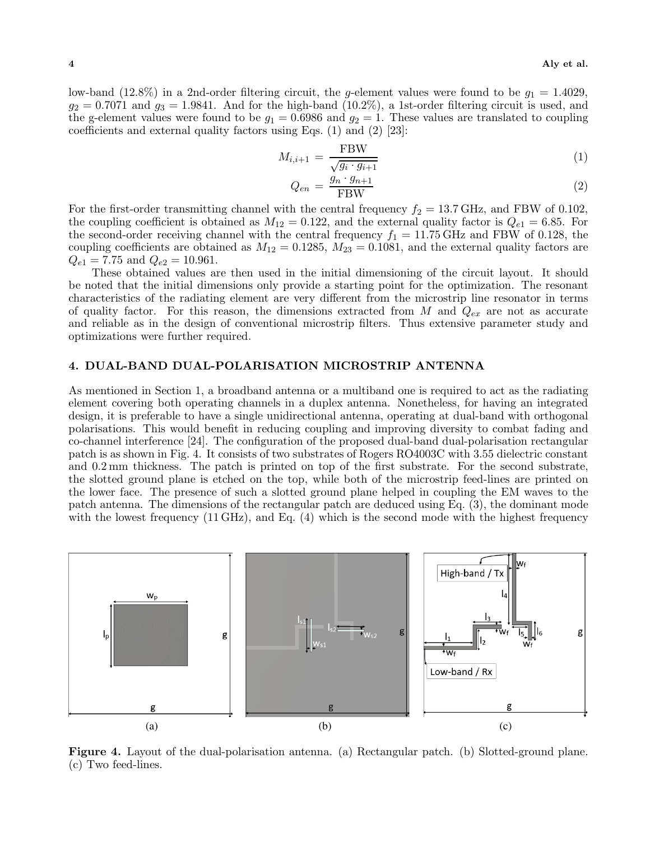low-band (12.8%) in a 2nd-order filtering circuit, the g-element values were found to be  $g_1 = 1.4029$ ,  $g_2 = 0.7071$  and  $g_3 = 1.9841$ . And for the high-band (10.2%), a 1st-order filtering circuit is used, and the g-element values were found to be  $g_1 = 0.6986$  and  $g_2 = 1$ . These values are translated to coupling coefficients and external quality factors using Eqs. (1) and (2) [23]:

$$
M_{i,i+1} = \frac{\text{FBW}}{\sqrt{g_i \cdot g_{i+1}}}
$$
\n<sup>(1)</sup>

$$
Q_{en} = \frac{g_n \cdot g_{n+1}}{\text{FBW}} \tag{2}
$$

For the first-order transmitting channel with the central frequency  $f_2 = 13.7$  GHz, and FBW of 0.102, the coupling coefficient is obtained as  $M_{12} = 0.122$ , and the external quality factor is  $Q_{e1} = 6.85$ . For the coupling coefficient is obtained as  $M_{12} = 0.122$ , and the external quality factor is  $Q_{e1} = 6.85$ . For<br>the second-order receiving channel with the central frequency  $f_1 = 11.75$  GHz and FBW of 0.128, the the second-order receiving channel with the central frequency  $f_1 = 11.75$  GHz and FBW of 0.128, the coupling coefficients are obtained as  $M_{12} = 0.1285$   $M_{22} = 0.1081$  and the external quality factors are coupling coefficients are obtained as  $M_{12} = 0.1285$ ,  $M_{23} = 0.1081$ , and the external quality factors are  $Q_{e1} = 7.75$  and  $Q_{e2} = 10.961$ .

These obtained values are then used in the initial dimensioning of the circuit layout. It should be noted that the initial dimensions only provide a starting point for the optimization. The resonant characteristics of the radiating element are very different from the microstrip line resonator in terms of quality factor. For this reason, the dimensions extracted from <sup>M</sup> and <sup>Q</sup>*ex* are not as accurate and reliable as in the design of conventional microstrip filters. Thus extensive parameter study and optimizations were further required.

#### **4. DUAL-BAND DUAL-POLARISATION MICROSTRIP ANTENNA**

As mentioned in Section 1, a broadband antenna or a multiband one is required to act as the radiating element covering both operating channels in a duplex antenna. Nonetheless, for having an integrated design, it is preferable to have a single unidirectional antenna, operating at dual-band with orthogonal polarisations. This would benefit in reducing coupling and improving diversity to combat fading and co-channel interference [24]. The configuration of the proposed dual-band dual-polarisation rectangular patch is as shown in Fig. 4. It consists of two substrates of Rogers RO4003C with 3.55 dielectric constant and 0.2 mm thickness. The patch is printed on top of the first substrate. For the second substrate, the slotted ground plane is etched on the top, while both of the microstrip feed-lines are printed on the lower face. The presence of such a slotted ground plane helped in coupling the EM waves to the patch antenna. The dimensions of the rectangular patch are deduced using Eq. (3), the dominant mode with the lowest frequency (11 GHz), and Eq. (4) which is the second mode with the highest frequency



**Figure 4.** Layout of the dual-polarisation antenna. (a) Rectangular patch. (b) Slotted-ground plane. (c) Two feed-lines.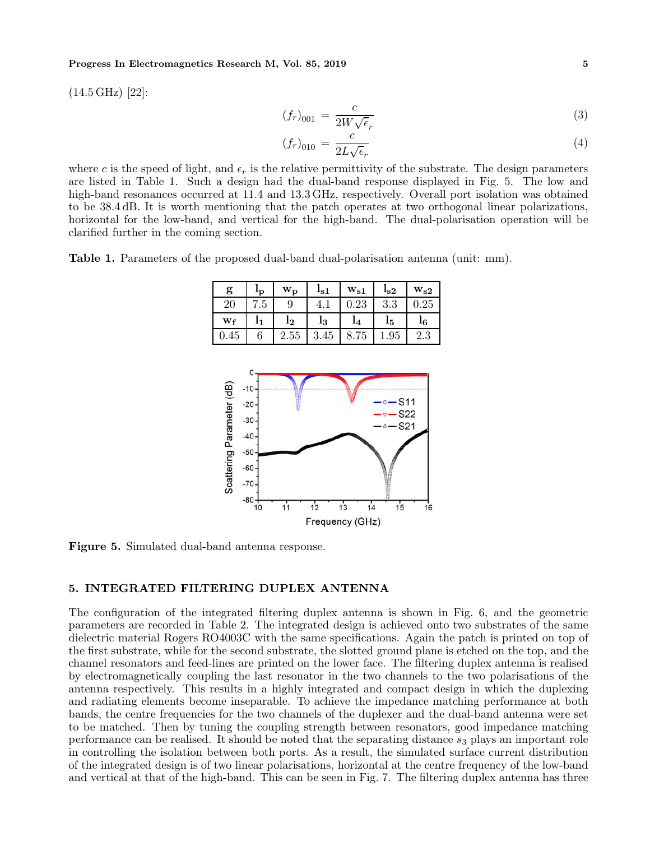## **Progress In Electromagnetics Research M, Vol. 85, 2019 5**

(14.5 GHz) [22]:

$$
(f_r)_{001} = \frac{c}{2W\sqrt{\epsilon_r}}\tag{3}
$$

$$
(f_r)_{010} = \frac{c}{2L\sqrt{\epsilon_r}}
$$
(4)

where c is the speed of light, and  $\epsilon_r$  is the relative permittivity of the substrate. The design parameters are listed in Table 1. Such a design had the dual-band response displayed in Fig. 5. The low and are listed in Table 1. Such a design had the dual-band response displayed in Fig. 5. The low and high-band resonances occurred at 11.4 and 13.3 GHz, respectively. Overall port isolation was obtained to be 38.4 dB. It is worth mentioning that the patch operates at two orthogonal linear polarizations, horizontal for the low-band, and vertical for the high-band. The dual-polarisation operation will be clarified further in the coming section.

**Table 1.** Parameters of the proposed dual-band dual-polarisation antenna (unit: mm).

| g    | 'p  | $\mathbf{w}_{\mathbf{p}}$ | $I_{\rm S1}$ | $\mathrm{w}_{\mathrm{s}1}$ | $I_{\rm s2}$ | $\mathrm{w}_{\mathrm{s}2}$ |
|------|-----|---------------------------|--------------|----------------------------|--------------|----------------------------|
| 20   | 7.5 | 9                         |              | 0.23                       | 3.3          | 0.25                       |
| Wf   |     | l2                        | l3           | 14                         | 15           | 16                         |
| 0.45 |     | 2.55                      | 3.45         | 8.75                       | 1.95         | 2.3                        |
|      |     |                           |              |                            |              |                            |



**Figure 5.** Simulated dual-band antenna response.

#### **5. INTEGRATED FILTERING DUPLEX ANTENNA**

The configuration of the integrated filtering duplex antenna is shown in Fig. 6, and the geometric parameters are recorded in Table 2. The integrated design is achieved onto two substrates of the same dielectric material Rogers RO4003C with the same specifications. Again the patch is printed on top of the first substrate, while for the second substrate, the slotted ground plane is etched on the top, and the channel resonators and feed-lines are printed on the lower face. The filtering duplex antenna is realised by electromagnetically coupling the last resonator in the two channels to the two polarisations of the antenna respectively. This results in a highly integrated and compact design in which the duplexing and radiating elements become inseparable. To achieve the impedance matching performance at both bands, the centre frequencies for the two channels of the duplexer and the dual-band antenna were set to be matched. Then by tuning the coupling strength between resonators, good impedance matching performance can be realised. It should be noted that the separating distance  $s_3$  plays an important role in controlling the isolation between both ports. As a result, the simulated surface current distribution of the integrated design is of two linear polarisations, horizontal at the centre frequency of the low-band and vertical at that of the high-band. This can be seen in Fig. 7. The filtering duplex antenna has three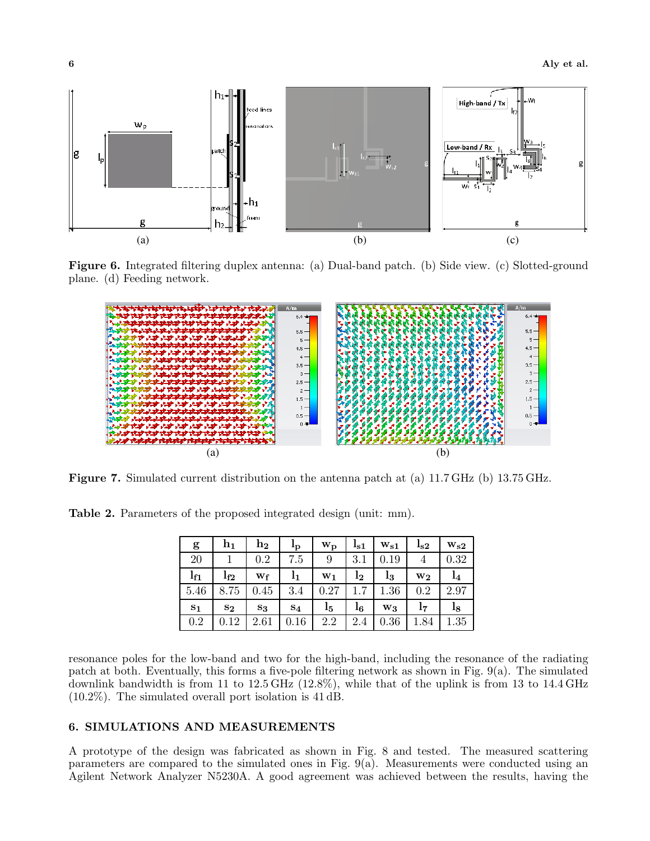

**Figure 6.** Integrated filtering duplex antenna: (a) Dual-band patch. (b) Side view. (c) Slotted-ground plane. (d) Feeding network.



**Figure 7.** Simulated current distribution on the antenna patch at (a) 11.7 GHz (b) 13.75 GHz.

**Table 2.** Parameters of the proposed integrated design (unit: mm).

| g               | $\mathbf{h}_1$ | $\mathbf{h}_{2}$ | $\mathbf{I}_{\mathbf{p}}$ | $\mathbf{w}_{\mathbf{p}}$ | $I_{\rm S1}$   | $\mathbf{w_{s1}}$ | $I_{\rm S2}$   | $\mathbf{w}_{\mathbf{s} \mathbf{2}}$ |
|-----------------|----------------|------------------|---------------------------|---------------------------|----------------|-------------------|----------------|--------------------------------------|
| 20              |                | 0.2              | 7.5                       | 9                         | 3.1            | 0.19              | $\overline{4}$ | 0.32                                 |
| 1 <sub>f1</sub> | $I_{f2}$       | Wf               | 1 <sub>1</sub>            | $W_1$                     | $\mathrm{l}_2$ | l3                | $W_{2}$        | 1 <sub>4</sub>                       |
| 5.46            | 8.75           | 0.45             | 3.4                       | 0.27                      | $1.7\,$        | 1.36              | 0.2            | 2.97                                 |
| $s_1$           | $S_{2}$        | $\mathbf{s}_3$   | $S_4$                     | $_{\rm l5}$               | $_{16}$        | $W_3$             | 17             | $_{\rm l s}$                         |
| 0.2             | 0.12           | 2.61             | 0.16                      | 2.2                       | 2.4            | 0.36              | 1.84           | 1.35                                 |

resonance poles for the low-band and two for the high-band, including the resonance of the radiating patch at both. Eventually, this forms a five-pole filtering network as shown in Fig. 9(a). The simulated downlink bandwidth is from 11 to 12.5 GHz (12.8%), while that of the uplink is from 13 to 14.4 GHz (10.2%). The simulated overall port isolation is 41 dB.

#### **6. SIMULATIONS AND MEASUREMENTS**

A prototype of the design was fabricated as shown in Fig. 8 and tested. The measured scattering parameters are compared to the simulated ones in Fig. 9(a). Measurements were conducted using an Agilent Network Analyzer N5230A. A good agreement was achieved between the results, having the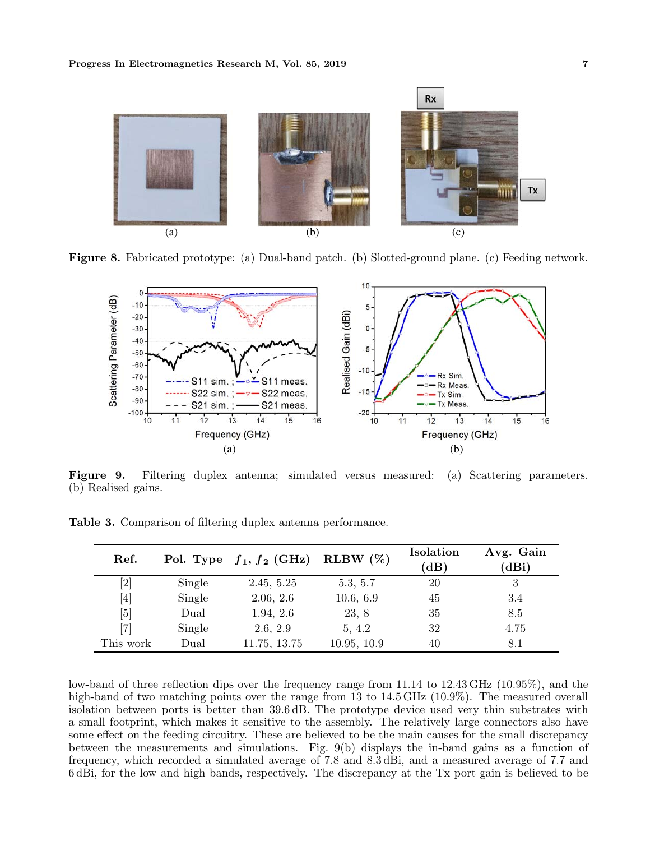

**Figure 8.** Fabricated prototype: (a) Dual-band patch. (b) Slotted-ground plane. (c) Feeding network.



**Figure 9.** Filtering duplex antenna; simulated versus measured: (a) Scattering parameters. (b) Realised gains.

| Ref.                                                                                                                                                                                  |        | Pol. Type $f_1, f_2$ (GHz) | RLBW $(\%)$ | Isolation<br>(dB) | Avg. Gain<br>(dBi) |
|---------------------------------------------------------------------------------------------------------------------------------------------------------------------------------------|--------|----------------------------|-------------|-------------------|--------------------|
|                                                                                                                                                                                       | Single | 2.45, 5.25                 | 5.3, 5.7    | 20                | 3                  |
| $[4] % \includegraphics[width=1\textwidth]{images/TrDiM-Architecture.png} \caption{The figure shows the results of the estimators in the left hand side.} \label{TrDiM-Architecture}$ | Single | 2.06, 2.6                  | 10.6, 6.9   | 45                | 3.4                |
| [5]                                                                                                                                                                                   | Dual   | 1.94, 2.6                  | 23, 8       | 35                | 8.5                |
| [7]                                                                                                                                                                                   | Single | 2.6, 2.9                   | 5, 4.2      | 32                | 4.75               |
| This work                                                                                                                                                                             | Dual   | 11.75, 13.75               | 10.95, 10.9 | 40                | 8.1                |

**Table 3.** Comparison of filtering duplex antenna performance.

low-band of three reflection dips over the frequency range from 11.14 to 12.43 GHz (10.95%), and the high-band of two matching points over the range from 13 to 14.5 GHz (10.9%). The measured overall isolation between ports is better than 39.6 dB. The prototype device used very thin substrates with a small footprint, which makes it sensitive to the assembly. The relatively large connectors also have some effect on the feeding circuitry. These are believed to be the main causes for the small discrepancy between the measurements and simulations. Fig. 9(b) displays the in-band gains as a function of frequency, which recorded a simulated average of 7.8 and 8.3 dBi, and a measured average of 7.7 and 6 dBi, for the low and high bands, respectively. The discrepancy at the Tx port gain is believed to be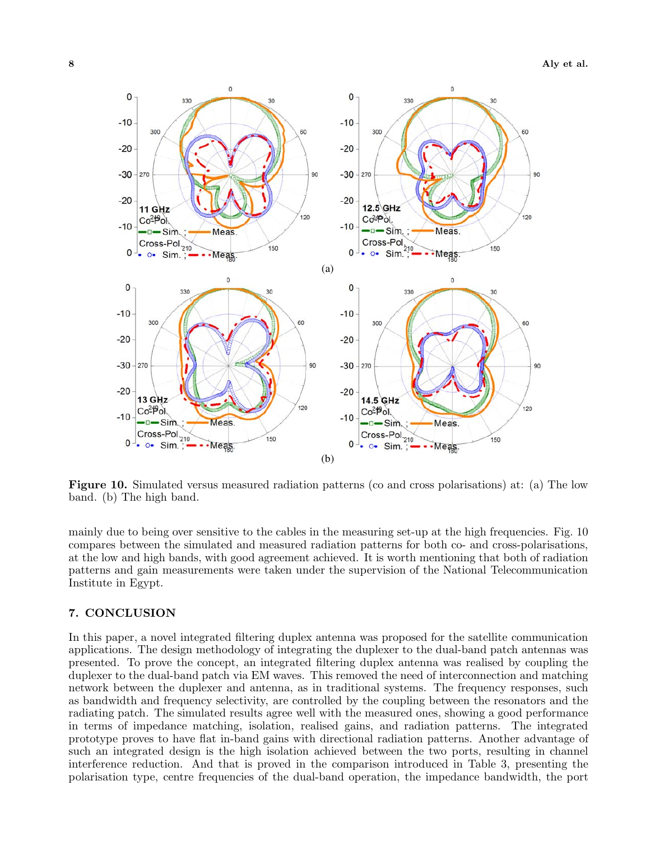

**Figure 10.** Simulated versus measured radiation patterns (co and cross polarisations) at: (a) The low band. (b) The high band.

mainly due to being over sensitive to the cables in the measuring set-up at the high frequencies. Fig. 10 compares between the simulated and measured radiation patterns for both co- and cross-polarisations, at the low and high bands, with good agreement achieved. It is worth mentioning that both of radiation patterns and gain measurements were taken under the supervision of the National Telecommunication Institute in Egypt.

#### **7. CONCLUSION**

In this paper, a novel integrated filtering duplex antenna was proposed for the satellite communication applications. The design methodology of integrating the duplexer to the dual-band patch antennas was presented. To prove the concept, an integrated filtering duplex antenna was realised by coupling the duplexer to the dual-band patch via EM waves. This removed the need of interconnection and matching network between the duplexer and antenna, as in traditional systems. The frequency responses, such as bandwidth and frequency selectivity, are controlled by the coupling between the resonators and the radiating patch. The simulated results agree well with the measured ones, showing a good performance in terms of impedance matching, isolation, realised gains, and radiation patterns. The integrated prototype proves to have flat in-band gains with directional radiation patterns. Another advantage of such an integrated design is the high isolation achieved between the two ports, resulting in channel interference reduction. And that is proved in the comparison introduced in Table 3, presenting the polarisation type, centre frequencies of the dual-band operation, the impedance bandwidth, the port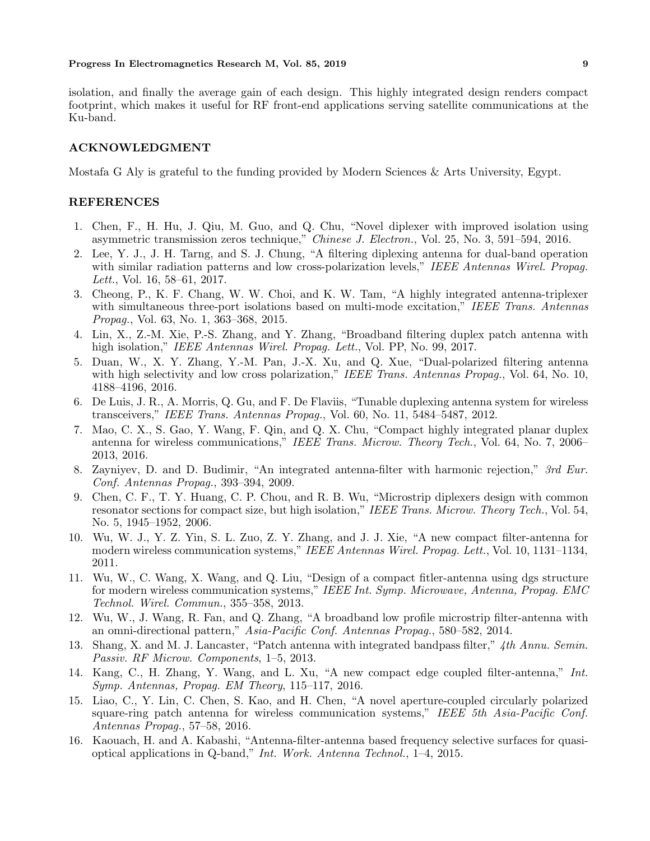## **Progress In Electromagnetics Research M, Vol. 85, 2019 9**

isolation, and finally the average gain of each design. This highly integrated design renders compact footprint, which makes it useful for RF front-end applications serving satellite communications at the Ku-band.

#### **ACKNOWLEDGMENT**

Mostafa G Aly is grateful to the funding provided by Modern Sciences & Arts University, Egypt.

#### **REFERENCES**

- 1. Chen, F., H. Hu, J. Qiu, M. Guo, and Q. Chu, "Novel diplexer with improved isolation using asymmetric transmission zeros technique," *Chinese J. Electron.*, Vol. 25, No. 3, 591–594, 2016.
- 2. Lee, Y. J., J. H. Tarng, and S. J. Chung, "A filtering diplexing antenna for dual-band operation with similar radiation patterns and low cross-polarization levels," *IEEE Antennas Wirel. Propag. Lett.*, Vol. 16, 58–61, 2017.
- 3. Cheong, P., K. F. Chang, W. W. Choi, and K. W. Tam, "A highly integrated antenna-triplexer with simultaneous three-port isolations based on multi-mode excitation," *IEEE Trans. Antennas Propag.*, Vol. 63, No. 1, 363–368, 2015.
- 4. Lin, X., Z.-M. Xie, P.-S. Zhang, and Y. Zhang, "Broadband filtering duplex patch antenna with high isolation," *IEEE Antennas Wirel. Propag. Lett.*, Vol. PP, No. 99, 2017.
- 5. Duan, W., X. Y. Zhang, Y.-M. Pan, J.-X. Xu, and Q. Xue, "Dual-polarized filtering antenna with high selectivity and low cross polarization," *IEEE Trans. Antennas Propag.*, Vol. 64, No. 10, 4188–4196, 2016.
- 6. De Luis, J. R., A. Morris, Q. Gu, and F. De Flaviis, "Tunable duplexing antenna system for wireless transceivers," *IEEE Trans. Antennas Propag.*, Vol. 60, No. 11, 5484–5487, 2012.
- 7. Mao, C. X., S. Gao, Y. Wang, F. Qin, and Q. X. Chu, "Compact highly integrated planar duplex antenna for wireless communications," *IEEE Trans. Microw. Theory Tech.*, Vol. 64, No. 7, 2006– 2013, 2016.
- 8. Zayniyev, D. and D. Budimir, "An integrated antenna-filter with harmonic rejection," *3rd Eur. Conf. Antennas Propag.*, 393–394, 2009.
- 9. Chen, C. F., T. Y. Huang, C. P. Chou, and R. B. Wu, "Microstrip diplexers design with common resonator sections for compact size, but high isolation," *IEEE Trans. Microw. Theory Tech.*, Vol. 54, No. 5, 1945–1952, 2006.
- 10. Wu, W. J., Y. Z. Yin, S. L. Zuo, Z. Y. Zhang, and J. J. Xie, "A new compact filter-antenna for modern wireless communication systems," *IEEE Antennas Wirel. Propag. Lett.*, Vol. 10, 1131–1134, 2011.
- 11. Wu, W., C. Wang, X. Wang, and Q. Liu, "Design of a compact fitler-antenna using dgs structure for modern wireless communication systems," *IEEE Int. Symp. Microwave, Antenna, Propag. EMC Technol. Wirel. Commun.*, 355–358, 2013.
- 12. Wu, W., J. Wang, R. Fan, and Q. Zhang, "A broadband low profile microstrip filter-antenna with an omni-directional pattern," *Asia-Pacific Conf. Antennas Propag.*, 580–582, 2014.
- 13. Shang, X. and M. J. Lancaster, "Patch antenna with integrated bandpass filter," *4th Annu. Semin. Passiv. RF Microw. Components*, 1–5, 2013.
- 14. Kang, C., H. Zhang, Y. Wang, and L. Xu, "A new compact edge coupled filter-antenna," *Int. Symp. Antennas, Propag. EM Theory*, 115–117, 2016.
- 15. Liao, C., Y. Lin, C. Chen, S. Kao, and H. Chen, "A novel aperture-coupled circularly polarized square-ring patch antenna for wireless communication systems," *IEEE 5th Asia-Pacific Conf. Antennas Propag.*, 57–58, 2016.
- 16. Kaouach, H. and A. Kabashi, "Antenna-filter-antenna based frequency selective surfaces for quasioptical applications in Q-band," *Int. Work. Antenna Technol.*, 1–4, 2015.